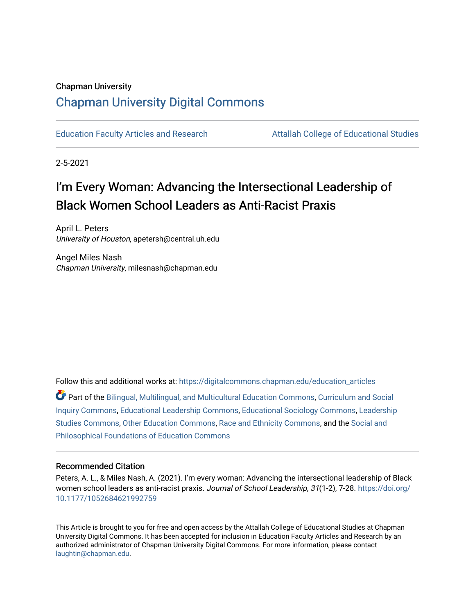## Chapman University

# [Chapman University Digital Commons](https://digitalcommons.chapman.edu/)

[Education Faculty Articles and Research](https://digitalcommons.chapman.edu/education_articles) [Attallah College of Educational Studies](https://digitalcommons.chapman.edu/ces) 

2-5-2021

# I'm Every Woman: Advancing the Intersectional Leadership of Black Women School Leaders as Anti-Racist Praxis

April L. Peters University of Houston, apetersh@central.uh.edu

Angel Miles Nash Chapman University, milesnash@chapman.edu

Follow this and additional works at: [https://digitalcommons.chapman.edu/education\\_articles](https://digitalcommons.chapman.edu/education_articles?utm_source=digitalcommons.chapman.edu%2Feducation_articles%2F310&utm_medium=PDF&utm_campaign=PDFCoverPages)

Part of the [Bilingual, Multilingual, and Multicultural Education Commons,](http://network.bepress.com/hgg/discipline/785?utm_source=digitalcommons.chapman.edu%2Feducation_articles%2F310&utm_medium=PDF&utm_campaign=PDFCoverPages) [Curriculum and Social](http://network.bepress.com/hgg/discipline/1038?utm_source=digitalcommons.chapman.edu%2Feducation_articles%2F310&utm_medium=PDF&utm_campaign=PDFCoverPages)  [Inquiry Commons,](http://network.bepress.com/hgg/discipline/1038?utm_source=digitalcommons.chapman.edu%2Feducation_articles%2F310&utm_medium=PDF&utm_campaign=PDFCoverPages) [Educational Leadership Commons,](http://network.bepress.com/hgg/discipline/1230?utm_source=digitalcommons.chapman.edu%2Feducation_articles%2F310&utm_medium=PDF&utm_campaign=PDFCoverPages) [Educational Sociology Commons,](http://network.bepress.com/hgg/discipline/1071?utm_source=digitalcommons.chapman.edu%2Feducation_articles%2F310&utm_medium=PDF&utm_campaign=PDFCoverPages) [Leadership](http://network.bepress.com/hgg/discipline/1250?utm_source=digitalcommons.chapman.edu%2Feducation_articles%2F310&utm_medium=PDF&utm_campaign=PDFCoverPages) [Studies Commons,](http://network.bepress.com/hgg/discipline/1250?utm_source=digitalcommons.chapman.edu%2Feducation_articles%2F310&utm_medium=PDF&utm_campaign=PDFCoverPages) [Other Education Commons,](http://network.bepress.com/hgg/discipline/811?utm_source=digitalcommons.chapman.edu%2Feducation_articles%2F310&utm_medium=PDF&utm_campaign=PDFCoverPages) [Race and Ethnicity Commons,](http://network.bepress.com/hgg/discipline/426?utm_source=digitalcommons.chapman.edu%2Feducation_articles%2F310&utm_medium=PDF&utm_campaign=PDFCoverPages) and the [Social and](http://network.bepress.com/hgg/discipline/799?utm_source=digitalcommons.chapman.edu%2Feducation_articles%2F310&utm_medium=PDF&utm_campaign=PDFCoverPages)  [Philosophical Foundations of Education Commons](http://network.bepress.com/hgg/discipline/799?utm_source=digitalcommons.chapman.edu%2Feducation_articles%2F310&utm_medium=PDF&utm_campaign=PDFCoverPages) 

#### Recommended Citation

Peters, A. L., & Miles Nash, A. (2021). I'm every woman: Advancing the intersectional leadership of Black women school leaders as anti-racist praxis. Journal of School Leadership, 31(1-2), 7-28. [https://doi.org/](https://doi.org/10.1177/1052684621992759) [10.1177/1052684621992759](https://doi.org/10.1177/1052684621992759)

This Article is brought to you for free and open access by the Attallah College of Educational Studies at Chapman University Digital Commons. It has been accepted for inclusion in Education Faculty Articles and Research by an authorized administrator of Chapman University Digital Commons. For more information, please contact [laughtin@chapman.edu.](mailto:laughtin@chapman.edu)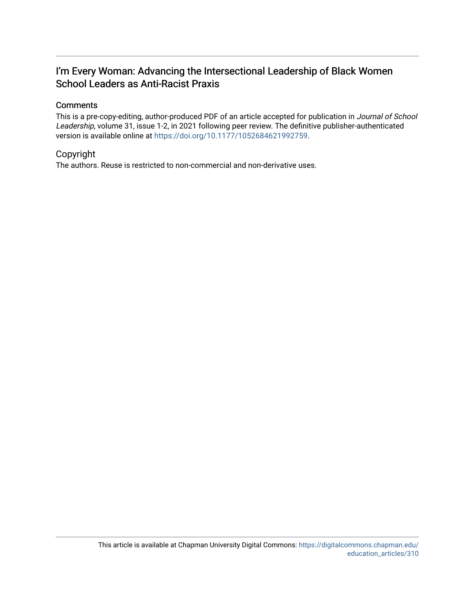# I'm Every Woman: Advancing the Intersectional Leadership of Black Women School Leaders as Anti-Racist Praxis

### **Comments**

This is a pre-copy-editing, author-produced PDF of an article accepted for publication in Journal of School Leadership, volume 31, issue 1-2, in 2021 following peer review. The definitive publisher-authenticated version is available online at [https://doi.org/10.1177/1052684621992759.](https://doi.org/10.1177/1052684621992759)

## Copyright

The authors. Reuse is restricted to non-commercial and non-derivative uses.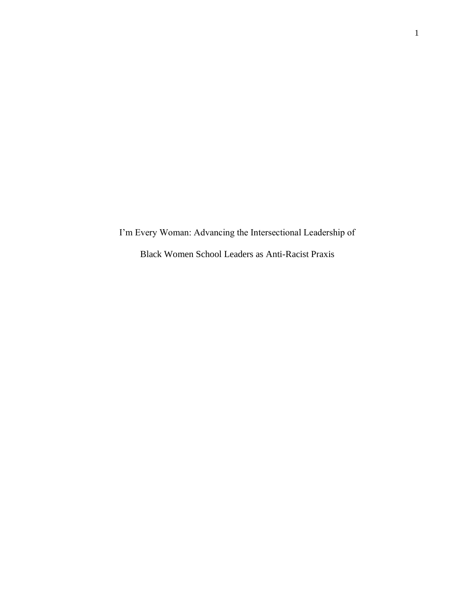I'm Every Woman: Advancing the Intersectional Leadership of Black Women School Leaders as Anti-Racist Praxis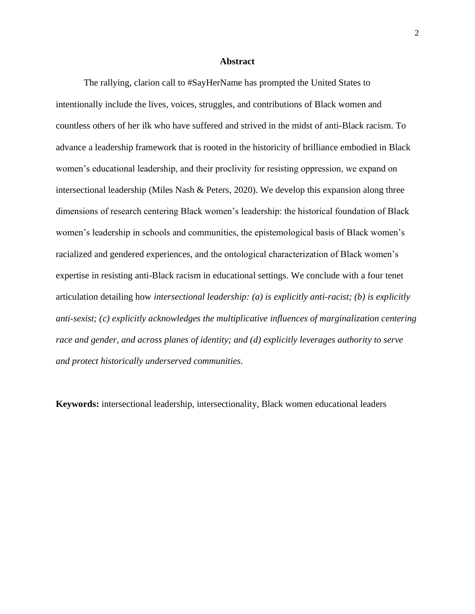#### **Abstract**

The rallying, clarion call to #SayHerName has prompted the United States to intentionally include the lives, voices, struggles, and contributions of Black women and countless others of her ilk who have suffered and strived in the midst of anti-Black racism. To advance a leadership framework that is rooted in the historicity of brilliance embodied in Black women's educational leadership, and their proclivity for resisting oppression, we expand on intersectional leadership (Miles Nash & Peters, 2020). We develop this expansion along three dimensions of research centering Black women's leadership: the historical foundation of Black women's leadership in schools and communities, the epistemological basis of Black women's racialized and gendered experiences, and the ontological characterization of Black women's expertise in resisting anti-Black racism in educational settings. We conclude with a four tenet articulation detailing how *intersectional leadership: (a) is explicitly anti-racist; (b) is explicitly anti-sexist; (c) explicitly acknowledges the multiplicative influences of marginalization centering race and gender, and across planes of identity; and (d) explicitly leverages authority to serve and protect historically underserved communities.* 

**Keywords:** intersectional leadership, intersectionality, Black women educational leaders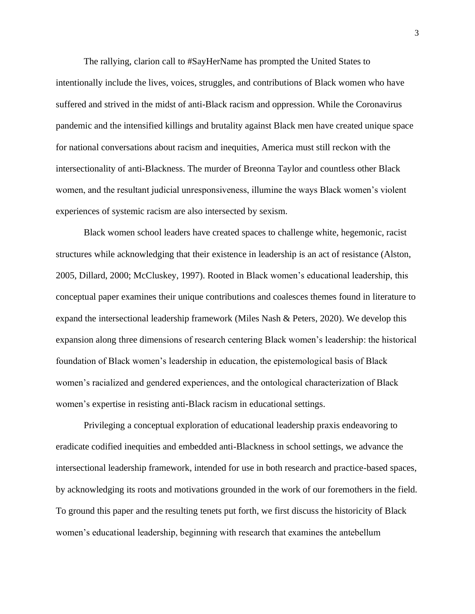The rallying, clarion call to #SayHerName has prompted the United States to intentionally include the lives, voices, struggles, and contributions of Black women who have suffered and strived in the midst of anti-Black racism and oppression. While the Coronavirus pandemic and the intensified killings and brutality against Black men have created unique space for national conversations about racism and inequities, America must still reckon with the intersectionality of anti-Blackness. The murder of Breonna Taylor and countless other Black women, and the resultant judicial unresponsiveness, illumine the ways Black women's violent experiences of systemic racism are also intersected by sexism.

Black women school leaders have created spaces to challenge white, hegemonic, racist structures while acknowledging that their existence in leadership is an act of resistance (Alston, 2005, Dillard, 2000; McCluskey, 1997). Rooted in Black women's educational leadership, this conceptual paper examines their unique contributions and coalesces themes found in literature to expand the intersectional leadership framework (Miles Nash & Peters, 2020). We develop this expansion along three dimensions of research centering Black women's leadership: the historical foundation of Black women's leadership in education, the epistemological basis of Black women's racialized and gendered experiences, and the ontological characterization of Black women's expertise in resisting anti-Black racism in educational settings.

Privileging a conceptual exploration of educational leadership praxis endeavoring to eradicate codified inequities and embedded anti-Blackness in school settings, we advance the intersectional leadership framework, intended for use in both research and practice-based spaces, by acknowledging its roots and motivations grounded in the work of our foremothers in the field. To ground this paper and the resulting tenets put forth, we first discuss the historicity of Black women's educational leadership, beginning with research that examines the antebellum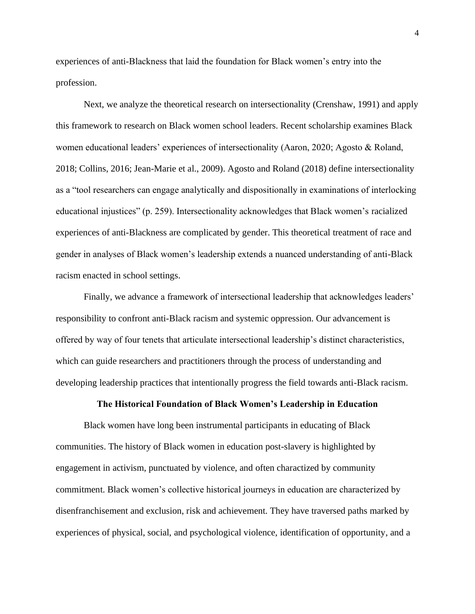experiences of anti-Blackness that laid the foundation for Black women's entry into the profession.

 Next, we analyze the theoretical research on intersectionality (Crenshaw, 1991) and apply this framework to research on Black women school leaders. Recent scholarship examines Black women educational leaders' experiences of intersectionality (Aaron, 2020; Agosto & Roland, 2018; Collins, 2016; Jean-Marie et al., 2009). Agosto and Roland (2018) define intersectionality as a "tool researchers can engage analytically and dispositionally in examinations of interlocking educational injustices" (p. 259). Intersectionality acknowledges that Black women's racialized experiences of anti-Blackness are complicated by gender. This theoretical treatment of race and gender in analyses of Black women's leadership extends a nuanced understanding of anti-Black racism enacted in school settings.

Finally, we advance a framework of intersectional leadership that acknowledges leaders' responsibility to confront anti-Black racism and systemic oppression. Our advancement is offered by way of four tenets that articulate intersectional leadership's distinct characteristics, which can guide researchers and practitioners through the process of understanding and developing leadership practices that intentionally progress the field towards anti-Black racism.

#### **The Historical Foundation of Black Women's Leadership in Education**

Black women have long been instrumental participants in educating of Black communities. The history of Black women in education post-slavery is highlighted by engagement in activism, punctuated by violence, and often charactized by community commitment. Black women's collective historical journeys in education are characterized by disenfranchisement and exclusion, risk and achievement. They have traversed paths marked by experiences of physical, social, and psychological violence, identification of opportunity, and a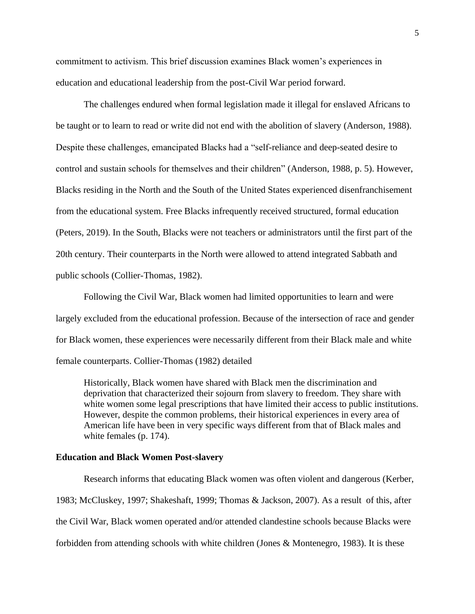commitment to activism. This brief discussion examines Black women's experiences in education and educational leadership from the post-Civil War period forward.

The challenges endured when formal legislation made it illegal for enslaved Africans to be taught or to learn to read or write did not end with the abolition of slavery (Anderson, 1988). Despite these challenges, emancipated Blacks had a "self-reliance and deep-seated desire to control and sustain schools for themselves and their children" (Anderson, 1988, p. 5). However, Blacks residing in the North and the South of the United States experienced disenfranchisement from the educational system. Free Blacks infrequently received structured, formal education (Peters, 2019). In the South, Blacks were not teachers or administrators until the first part of the 20th century. Their counterparts in the North were allowed to attend integrated Sabbath and public schools (Collier-Thomas, 1982).

Following the Civil War, Black women had limited opportunities to learn and were largely excluded from the educational profession. Because of the intersection of race and gender for Black women, these experiences were necessarily different from their Black male and white female counterparts. Collier-Thomas (1982) detailed

Historically, Black women have shared with Black men the discrimination and deprivation that characterized their sojourn from slavery to freedom. They share with white women some legal prescriptions that have limited their access to public institutions. However, despite the common problems, their historical experiences in every area of American life have been in very specific ways different from that of Black males and white females (p. 174).

#### **Education and Black Women Post-slavery**

Research informs that educating Black women was often violent and dangerous (Kerber, 1983; McCluskey, 1997; Shakeshaft, 1999; Thomas & Jackson, 2007). As a result of this, after the Civil War, Black women operated and/or attended clandestine schools because Blacks were forbidden from attending schools with white children (Jones & Montenegro, 1983). It is these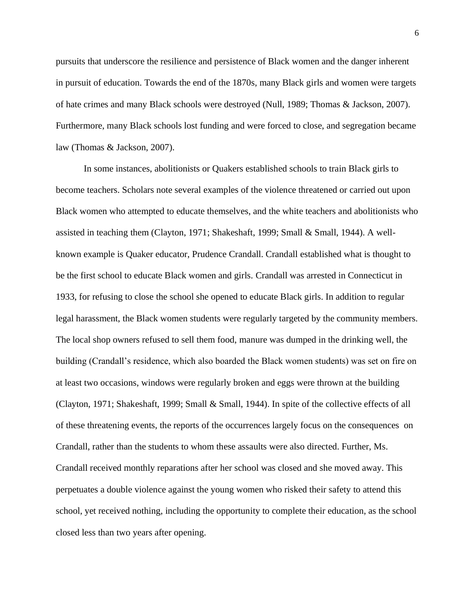pursuits that underscore the resilience and persistence of Black women and the danger inherent in pursuit of education. Towards the end of the 1870s, many Black girls and women were targets of hate crimes and many Black schools were destroyed (Null, 1989; Thomas & Jackson, 2007). Furthermore, many Black schools lost funding and were forced to close, and segregation became law (Thomas & Jackson, 2007).

In some instances, abolitionists or Quakers established schools to train Black girls to become teachers. Scholars note several examples of the violence threatened or carried out upon Black women who attempted to educate themselves, and the white teachers and abolitionists who assisted in teaching them (Clayton, 1971; Shakeshaft, 1999; Small & Small, 1944). A wellknown example is Quaker educator, Prudence Crandall. Crandall established what is thought to be the first school to educate Black women and girls. Crandall was arrested in Connecticut in 1933, for refusing to close the school she opened to educate Black girls. In addition to regular legal harassment, the Black women students were regularly targeted by the community members. The local shop owners refused to sell them food, manure was dumped in the drinking well, the building (Crandall's residence, which also boarded the Black women students) was set on fire on at least two occasions, windows were regularly broken and eggs were thrown at the building (Clayton, 1971; Shakeshaft, 1999; Small & Small, 1944). In spite of the collective effects of all of these threatening events, the reports of the occurrences largely focus on the consequences on Crandall, rather than the students to whom these assaults were also directed. Further, Ms. Crandall received monthly reparations after her school was closed and she moved away. This perpetuates a double violence against the young women who risked their safety to attend this school, yet received nothing, including the opportunity to complete their education, as the school closed less than two years after opening.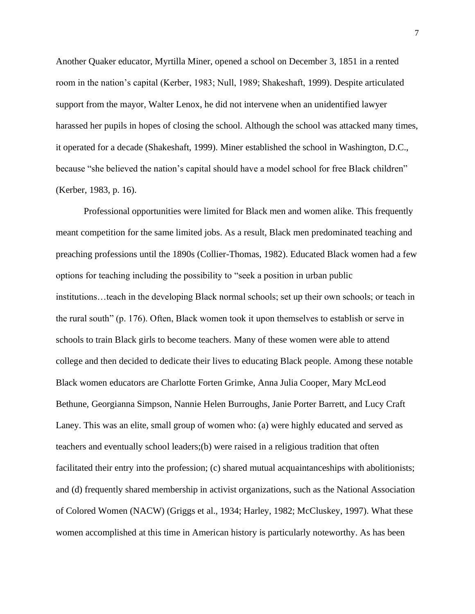Another Quaker educator, Myrtilla Miner, opened a school on December 3, 1851 in a rented room in the nation's capital (Kerber, 1983; Null, 1989; Shakeshaft, 1999). Despite articulated support from the mayor, Walter Lenox, he did not intervene when an unidentified lawyer harassed her pupils in hopes of closing the school. Although the school was attacked many times, it operated for a decade (Shakeshaft, 1999). Miner established the school in Washington, D.C., because "she believed the nation's capital should have a model school for free Black children" (Kerber, 1983, p. 16).

Professional opportunities were limited for Black men and women alike. This frequently meant competition for the same limited jobs. As a result, Black men predominated teaching and preaching professions until the 1890s (Collier-Thomas, 1982). Educated Black women had a few options for teaching including the possibility to "seek a position in urban public institutions…teach in the developing Black normal schools; set up their own schools; or teach in the rural south" (p. 176). Often, Black women took it upon themselves to establish or serve in schools to train Black girls to become teachers. Many of these women were able to attend college and then decided to dedicate their lives to educating Black people. Among these notable Black women educators are Charlotte Forten Grimke, Anna Julia Cooper, Mary McLeod Bethune, Georgianna Simpson, Nannie Helen Burroughs, Janie Porter Barrett, and Lucy Craft Laney. This was an elite, small group of women who: (a) were highly educated and served as teachers and eventually school leaders;(b) were raised in a religious tradition that often facilitated their entry into the profession; (c) shared mutual acquaintanceships with abolitionists; and (d) frequently shared membership in activist organizations, such as the National Association of Colored Women (NACW) (Griggs et al., 1934; Harley, 1982; McCluskey, 1997). What these women accomplished at this time in American history is particularly noteworthy. As has been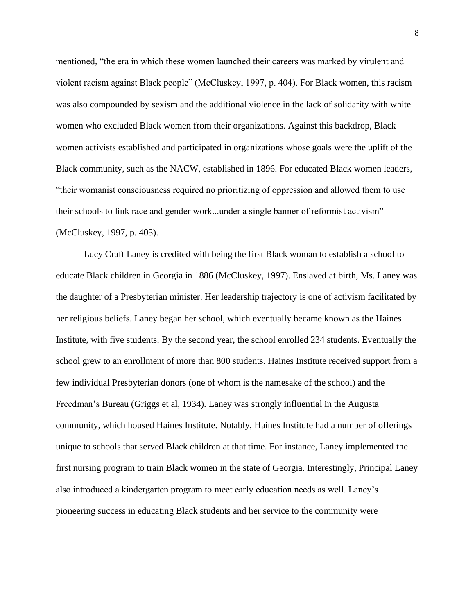mentioned, "the era in which these women launched their careers was marked by virulent and violent racism against Black people" (McCluskey, 1997, p. 404). For Black women, this racism was also compounded by sexism and the additional violence in the lack of solidarity with white women who excluded Black women from their organizations. Against this backdrop, Black women activists established and participated in organizations whose goals were the uplift of the Black community, such as the NACW, established in 1896. For educated Black women leaders, "their womanist consciousness required no prioritizing of oppression and allowed them to use their schools to link race and gender work...under a single banner of reformist activism" (McCluskey, 1997, p. 405).

Lucy Craft Laney is credited with being the first Black woman to establish a school to educate Black children in Georgia in 1886 (McCluskey, 1997). Enslaved at birth, Ms. Laney was the daughter of a Presbyterian minister. Her leadership trajectory is one of activism facilitated by her religious beliefs. Laney began her school, which eventually became known as the Haines Institute, with five students. By the second year, the school enrolled 234 students. Eventually the school grew to an enrollment of more than 800 students. Haines Institute received support from a few individual Presbyterian donors (one of whom is the namesake of the school) and the Freedman's Bureau (Griggs et al, 1934). Laney was strongly influential in the Augusta community, which housed Haines Institute. Notably, Haines Institute had a number of offerings unique to schools that served Black children at that time. For instance, Laney implemented the first nursing program to train Black women in the state of Georgia. Interestingly, Principal Laney also introduced a kindergarten program to meet early education needs as well. Laney's pioneering success in educating Black students and her service to the community were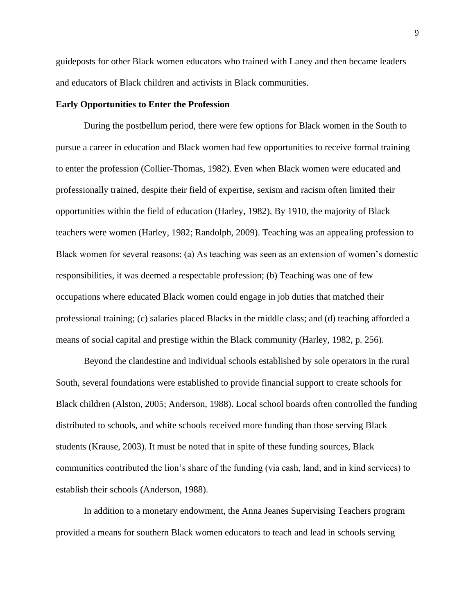guideposts for other Black women educators who trained with Laney and then became leaders and educators of Black children and activists in Black communities.

#### **Early Opportunities to Enter the Profession**

During the postbellum period, there were few options for Black women in the South to pursue a career in education and Black women had few opportunities to receive formal training to enter the profession (Collier-Thomas, 1982). Even when Black women were educated and professionally trained, despite their field of expertise, sexism and racism often limited their opportunities within the field of education (Harley, 1982). By 1910, the majority of Black teachers were women (Harley, 1982; Randolph, 2009). Teaching was an appealing profession to Black women for several reasons: (a) As teaching was seen as an extension of women's domestic responsibilities, it was deemed a respectable profession; (b) Teaching was one of few occupations where educated Black women could engage in job duties that matched their professional training; (c) salaries placed Blacks in the middle class; and (d) teaching afforded a means of social capital and prestige within the Black community (Harley, 1982, p. 256).

Beyond the clandestine and individual schools established by sole operators in the rural South, several foundations were established to provide financial support to create schools for Black children (Alston, 2005; Anderson, 1988). Local school boards often controlled the funding distributed to schools, and white schools received more funding than those serving Black students (Krause, 2003). It must be noted that in spite of these funding sources, Black communities contributed the lion's share of the funding (via cash, land, and in kind services) to establish their schools (Anderson, 1988).

In addition to a monetary endowment, the Anna Jeanes Supervising Teachers program provided a means for southern Black women educators to teach and lead in schools serving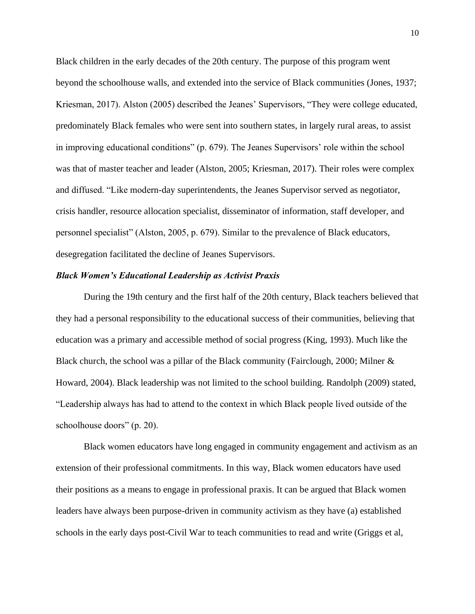Black children in the early decades of the 20th century. The purpose of this program went beyond the schoolhouse walls, and extended into the service of Black communities (Jones, 1937; Kriesman, 2017). Alston (2005) described the Jeanes' Supervisors, "They were college educated, predominately Black females who were sent into southern states, in largely rural areas, to assist in improving educational conditions" (p. 679). The Jeanes Supervisors' role within the school was that of master teacher and leader (Alston, 2005; Kriesman, 2017). Their roles were complex and diffused. "Like modern-day superintendents, the Jeanes Supervisor served as negotiator, crisis handler, resource allocation specialist, disseminator of information, staff developer, and personnel specialist" (Alston, 2005, p. 679). Similar to the prevalence of Black educators, desegregation facilitated the decline of Jeanes Supervisors.

#### *Black Women's Educational Leadership as Activist Praxis*

During the 19th century and the first half of the 20th century, Black teachers believed that they had a personal responsibility to the educational success of their communities, believing that education was a primary and accessible method of social progress (King, 1993). Much like the Black church, the school was a pillar of the Black community (Fairclough, 2000; Milner & Howard, 2004). Black leadership was not limited to the school building. Randolph (2009) stated, "Leadership always has had to attend to the context in which Black people lived outside of the schoolhouse doors" (p. 20).

Black women educators have long engaged in community engagement and activism as an extension of their professional commitments. In this way, Black women educators have used their positions as a means to engage in professional praxis. It can be argued that Black women leaders have always been purpose-driven in community activism as they have (a) established schools in the early days post-Civil War to teach communities to read and write (Griggs et al,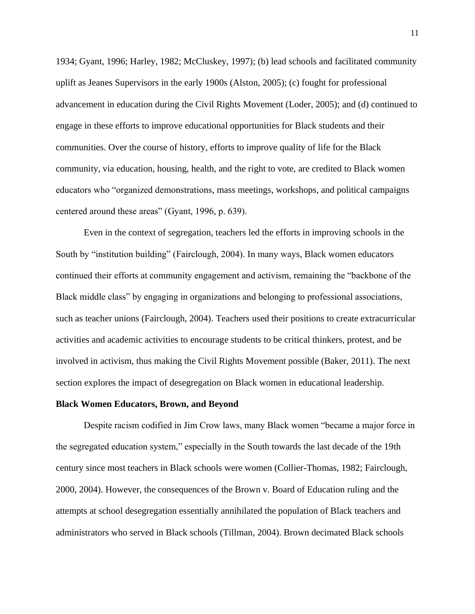1934; Gyant, 1996; Harley, 1982; McCluskey, 1997); (b) lead schools and facilitated community uplift as Jeanes Supervisors in the early 1900s (Alston, 2005); (c) fought for professional advancement in education during the Civil Rights Movement (Loder, 2005); and (d) continued to engage in these efforts to improve educational opportunities for Black students and their communities. Over the course of history, efforts to improve quality of life for the Black community, via education, housing, health, and the right to vote, are credited to Black women educators who "organized demonstrations, mass meetings, workshops, and political campaigns centered around these areas" (Gyant, 1996, p. 639).

Even in the context of segregation, teachers led the efforts in improving schools in the South by "institution building" (Fairclough, 2004). In many ways, Black women educators continued their efforts at community engagement and activism, remaining the "backbone of the Black middle class" by engaging in organizations and belonging to professional associations, such as teacher unions (Fairclough, 2004). Teachers used their positions to create extracurricular activities and academic activities to encourage students to be critical thinkers, protest, and be involved in activism, thus making the Civil Rights Movement possible (Baker, 2011). The next section explores the impact of desegregation on Black women in educational leadership.

#### **Black Women Educators, Brown, and Beyond**

Despite racism codified in Jim Crow laws, many Black women "became a major force in the segregated education system," especially in the South towards the last decade of the 19th century since most teachers in Black schools were women (Collier-Thomas, 1982; Fairclough, 2000, 2004). However, the consequences of the Brown v. Board of Education ruling and the attempts at school desegregation essentially annihilated the population of Black teachers and administrators who served in Black schools (Tillman, 2004). Brown decimated Black schools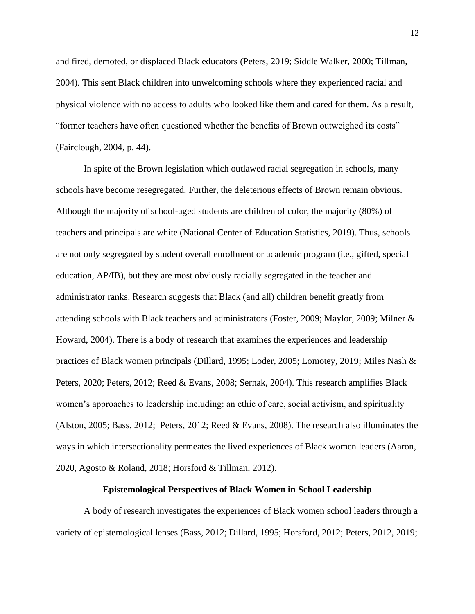and fired, demoted, or displaced Black educators (Peters, 2019; Siddle Walker, 2000; Tillman, 2004). This sent Black children into unwelcoming schools where they experienced racial and physical violence with no access to adults who looked like them and cared for them. As a result, "former teachers have often questioned whether the benefits of Brown outweighed its costs" (Fairclough, 2004, p. 44).

In spite of the Brown legislation which outlawed racial segregation in schools, many schools have become resegregated. Further, the deleterious effects of Brown remain obvious. Although the majority of school-aged students are children of color, the majority (80%) of teachers and principals are white (National Center of Education Statistics, 2019). Thus, schools are not only segregated by student overall enrollment or academic program (i.e., gifted, special education, AP/IB), but they are most obviously racially segregated in the teacher and administrator ranks. Research suggests that Black (and all) children benefit greatly from attending schools with Black teachers and administrators (Foster, 2009; Maylor, 2009; Milner & Howard, 2004). There is a body of research that examines the experiences and leadership practices of Black women principals (Dillard, 1995; Loder, 2005; Lomotey, 2019; Miles Nash & Peters, 2020; Peters, 2012; Reed & Evans, 2008; Sernak, 2004). This research amplifies Black women's approaches to leadership including: an ethic of care, social activism, and spirituality (Alston, 2005; Bass, 2012; Peters, 2012; Reed & Evans, 2008). The research also illuminates the ways in which intersectionality permeates the lived experiences of Black women leaders (Aaron, 2020, Agosto & Roland, 2018; Horsford & Tillman, 2012).

#### **Epistemological Perspectives of Black Women in School Leadership**

A body of research investigates the experiences of Black women school leaders through a variety of epistemological lenses (Bass, 2012; Dillard, 1995; Horsford, 2012; Peters, 2012, 2019;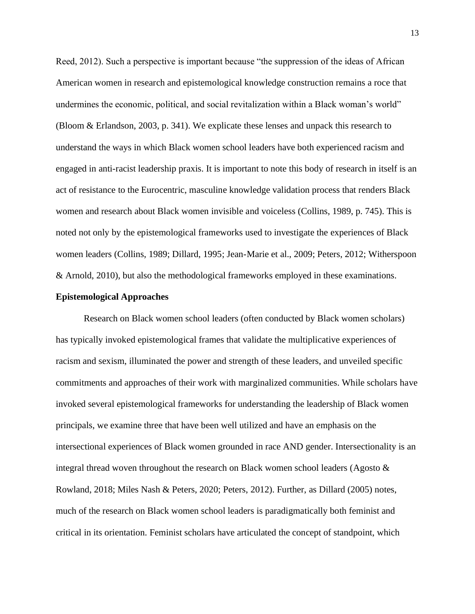Reed, 2012). Such a perspective is important because "the suppression of the ideas of African American women in research and epistemological knowledge construction remains a roce that undermines the economic, political, and social revitalization within a Black woman's world" (Bloom & Erlandson, 2003, p. 341). We explicate these lenses and unpack this research to understand the ways in which Black women school leaders have both experienced racism and engaged in anti-racist leadership praxis. It is important to note this body of research in itself is an act of resistance to the Eurocentric, masculine knowledge validation process that renders Black women and research about Black women invisible and voiceless (Collins, 1989, p. 745). This is noted not only by the epistemological frameworks used to investigate the experiences of Black women leaders (Collins, 1989; Dillard, 1995; Jean-Marie et al., 2009; Peters, 2012; Witherspoon & Arnold, 2010), but also the methodological frameworks employed in these examinations.

#### **Epistemological Approaches**

Research on Black women school leaders (often conducted by Black women scholars) has typically invoked epistemological frames that validate the multiplicative experiences of racism and sexism, illuminated the power and strength of these leaders, and unveiled specific commitments and approaches of their work with marginalized communities. While scholars have invoked several epistemological frameworks for understanding the leadership of Black women principals, we examine three that have been well utilized and have an emphasis on the intersectional experiences of Black women grounded in race AND gender. Intersectionality is an integral thread woven throughout the research on Black women school leaders (Agosto & Rowland, 2018; Miles Nash & Peters, 2020; Peters, 2012). Further, as Dillard (2005) notes, much of the research on Black women school leaders is paradigmatically both feminist and critical in its orientation. Feminist scholars have articulated the concept of standpoint, which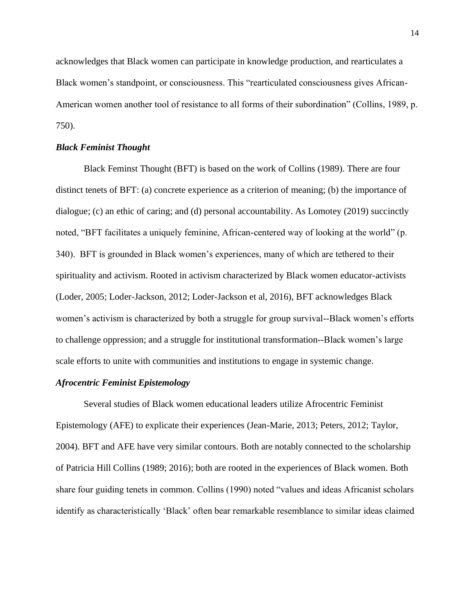acknowledges that Black women can participate in knowledge production, and rearticulates a Black women's standpoint, or consciousness. This "rearticulated consciousness gives African-American women another tool of resistance to all forms of their subordination" (Collins, 1989, p. 750).

#### *Black Feminist Thought*

Black Feminst Thought (BFT) is based on the work of Collins (1989). There are four distinct tenets of BFT: (a) concrete experience as a criterion of meaning; (b) the importance of dialogue; (c) an ethic of caring; and (d) personal accountability. As Lomotey (2019) succinctly noted, "BFT facilitates a uniquely feminine, African-centered way of looking at the world" (p. 340). BFT is grounded in Black women's experiences, many of which are tethered to their spirituality and activism. Rooted in activism characterized by Black women educator-activists (Loder, 2005; Loder-Jackson, 2012; Loder-Jackson et al, 2016), BFT acknowledges Black women's activism is characterized by both a struggle for group survival--Black women's efforts to challenge oppression; and a struggle for institutional transformation--Black women's large scale efforts to unite with communities and institutions to engage in systemic change.

#### *Afrocentric Feminist Epistemology*

Several studies of Black women educational leaders utilize Afrocentric Feminist Epistemology (AFE) to explicate their experiences (Jean-Marie, 2013; Peters, 2012; Taylor, 2004). BFT and AFE have very similar contours. Both are notably connected to the scholarship of Patricia Hill Collins (1989; 2016); both are rooted in the experiences of Black women. Both share four guiding tenets in common. Collins (1990) noted "values and ideas Africanist scholars identify as characteristically 'Black' often bear remarkable resemblance to similar ideas claimed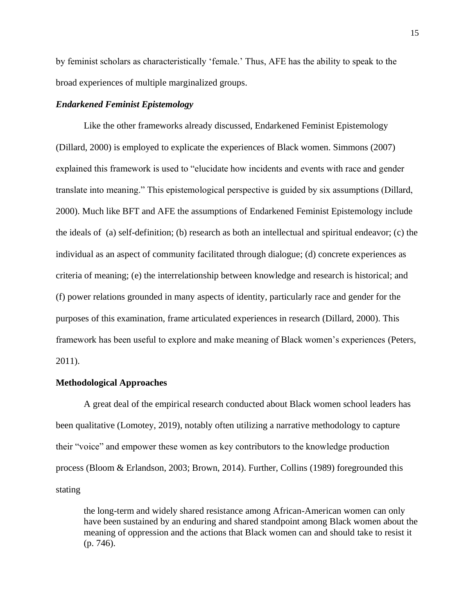by feminist scholars as characteristically 'female.' Thus, AFE has the ability to speak to the broad experiences of multiple marginalized groups.

#### *Endarkened Feminist Epistemology*

Like the other frameworks already discussed, Endarkened Feminist Epistemology (Dillard, 2000) is employed to explicate the experiences of Black women. Simmons (2007) explained this framework is used to "elucidate how incidents and events with race and gender translate into meaning." This epistemological perspective is guided by six assumptions (Dillard, 2000). Much like BFT and AFE the assumptions of Endarkened Feminist Epistemology include the ideals of (a) self-definition; (b) research as both an intellectual and spiritual endeavor; (c) the individual as an aspect of community facilitated through dialogue; (d) concrete experiences as criteria of meaning; (e) the interrelationship between knowledge and research is historical; and (f) power relations grounded in many aspects of identity, particularly race and gender for the purposes of this examination, frame articulated experiences in research (Dillard, 2000). This framework has been useful to explore and make meaning of Black women's experiences (Peters, 2011).

#### **Methodological Approaches**

A great deal of the empirical research conducted about Black women school leaders has been qualitative (Lomotey, 2019), notably often utilizing a narrative methodology to capture their "voice" and empower these women as key contributors to the knowledge production process (Bloom & Erlandson, 2003; Brown, 2014). Further, Collins (1989) foregrounded this stating

the long-term and widely shared resistance among African-American women can only have been sustained by an enduring and shared standpoint among Black women about the meaning of oppression and the actions that Black women can and should take to resist it (p. 746).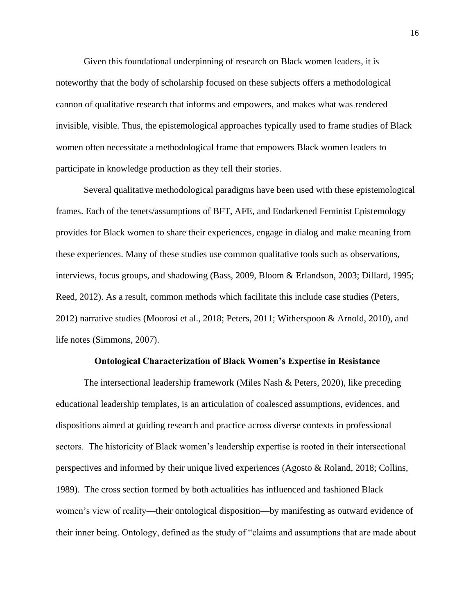Given this foundational underpinning of research on Black women leaders, it is noteworthy that the body of scholarship focused on these subjects offers a methodological cannon of qualitative research that informs and empowers, and makes what was rendered invisible, visible. Thus, the epistemological approaches typically used to frame studies of Black women often necessitate a methodological frame that empowers Black women leaders to participate in knowledge production as they tell their stories.

Several qualitative methodological paradigms have been used with these epistemological frames. Each of the tenets/assumptions of BFT, AFE, and Endarkened Feminist Epistemology provides for Black women to share their experiences, engage in dialog and make meaning from these experiences. Many of these studies use common qualitative tools such as observations, interviews, focus groups, and shadowing (Bass, 2009, Bloom & Erlandson, 2003; Dillard, 1995; Reed, 2012). As a result, common methods which facilitate this include case studies (Peters, 2012) narrative studies (Moorosi et al., 2018; Peters, 2011; Witherspoon & Arnold, 2010), and life notes (Simmons, 2007).

#### **Ontological Characterization of Black Women's Expertise in Resistance**

The intersectional leadership framework (Miles Nash & Peters, 2020), like preceding educational leadership templates, is an articulation of coalesced assumptions, evidences, and dispositions aimed at guiding research and practice across diverse contexts in professional sectors. The historicity of Black women's leadership expertise is rooted in their intersectional perspectives and informed by their unique lived experiences (Agosto & Roland, 2018; Collins, 1989). The cross section formed by both actualities has influenced and fashioned Black women's view of reality—their ontological disposition—by manifesting as outward evidence of their inner being. Ontology, defined as the study of "claims and assumptions that are made about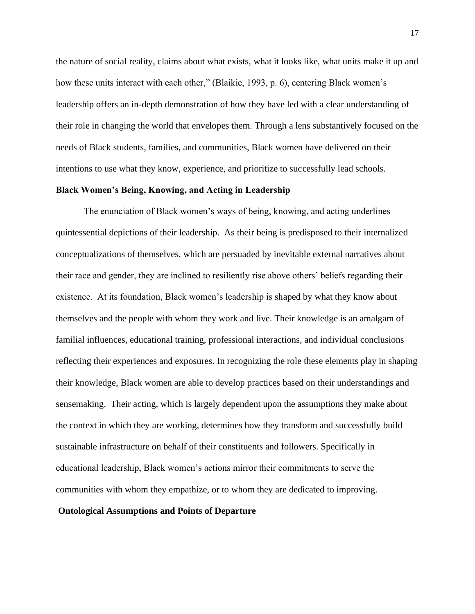the nature of social reality, claims about what exists, what it looks like, what units make it up and how these units interact with each other," (Blaikie, 1993, p. 6), centering Black women's leadership offers an in-depth demonstration of how they have led with a clear understanding of their role in changing the world that envelopes them. Through a lens substantively focused on the needs of Black students, families, and communities, Black women have delivered on their intentions to use what they know, experience, and prioritize to successfully lead schools.

#### **Black Women's Being, Knowing, and Acting in Leadership**

The enunciation of Black women's ways of being, knowing, and acting underlines quintessential depictions of their leadership. As their being is predisposed to their internalized conceptualizations of themselves, which are persuaded by inevitable external narratives about their race and gender, they are inclined to resiliently rise above others' beliefs regarding their existence. At its foundation, Black women's leadership is shaped by what they know about themselves and the people with whom they work and live. Their knowledge is an amalgam of familial influences, educational training, professional interactions, and individual conclusions reflecting their experiences and exposures. In recognizing the role these elements play in shaping their knowledge, Black women are able to develop practices based on their understandings and sensemaking. Their acting, which is largely dependent upon the assumptions they make about the context in which they are working, determines how they transform and successfully build sustainable infrastructure on behalf of their constituents and followers. Specifically in educational leadership, Black women's actions mirror their commitments to serve the communities with whom they empathize, or to whom they are dedicated to improving.

#### **Ontological Assumptions and Points of Departure**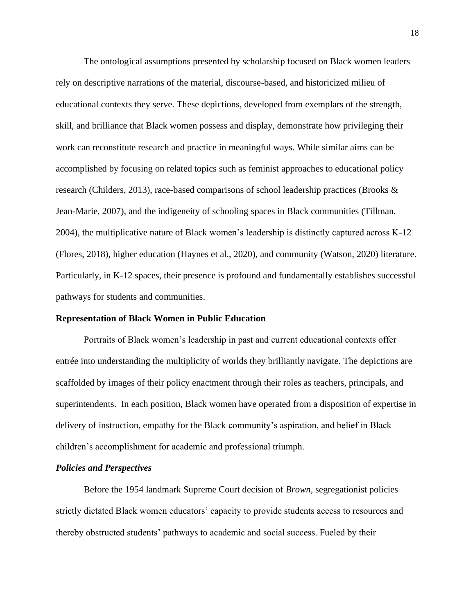The ontological assumptions presented by scholarship focused on Black women leaders rely on descriptive narrations of the material, discourse-based, and historicized milieu of educational contexts they serve. These depictions, developed from exemplars of the strength, skill, and brilliance that Black women possess and display, demonstrate how privileging their work can reconstitute research and practice in meaningful ways. While similar aims can be accomplished by focusing on related topics such as feminist approaches to educational policy research (Childers, 2013), race-based comparisons of school leadership practices (Brooks & Jean-Marie, 2007), and the indigeneity of schooling spaces in Black communities (Tillman, 2004), the multiplicative nature of Black women's leadership is distinctly captured across K-12 (Flores, 2018), higher education (Haynes et al., 2020), and community (Watson, 2020) literature. Particularly, in K-12 spaces, their presence is profound and fundamentally establishes successful pathways for students and communities.

#### **Representation of Black Women in Public Education**

Portraits of Black women's leadership in past and current educational contexts offer entrée into understanding the multiplicity of worlds they brilliantly navigate. The depictions are scaffolded by images of their policy enactment through their roles as teachers, principals, and superintendents. In each position, Black women have operated from a disposition of expertise in delivery of instruction, empathy for the Black community's aspiration, and belief in Black children's accomplishment for academic and professional triumph.

#### *Policies and Perspectives*

Before the 1954 landmark Supreme Court decision of *Brown*, segregationist policies strictly dictated Black women educators' capacity to provide students access to resources and thereby obstructed students' pathways to academic and social success. Fueled by their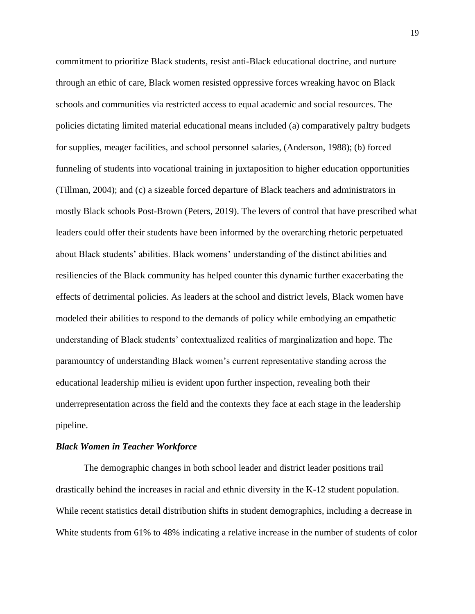commitment to prioritize Black students, resist anti-Black educational doctrine, and nurture through an ethic of care, Black women resisted oppressive forces wreaking havoc on Black schools and communities via restricted access to equal academic and social resources. The policies dictating limited material educational means included (a) comparatively paltry budgets for supplies, meager facilities, and school personnel salaries, (Anderson, 1988); (b) forced funneling of students into vocational training in juxtaposition to higher education opportunities (Tillman, 2004); and (c) a sizeable forced departure of Black teachers and administrators in mostly Black schools Post-Brown (Peters, 2019). The levers of control that have prescribed what leaders could offer their students have been informed by the overarching rhetoric perpetuated about Black students' abilities. Black womens' understanding of the distinct abilities and resiliencies of the Black community has helped counter this dynamic further exacerbating the effects of detrimental policies. As leaders at the school and district levels, Black women have modeled their abilities to respond to the demands of policy while embodying an empathetic understanding of Black students' contextualized realities of marginalization and hope. The paramountcy of understanding Black women's current representative standing across the educational leadership milieu is evident upon further inspection, revealing both their underrepresentation across the field and the contexts they face at each stage in the leadership pipeline.

#### *Black Women in Teacher Workforce*

The demographic changes in both school leader and district leader positions trail drastically behind the increases in racial and ethnic diversity in the K-12 student population. While recent statistics detail distribution shifts in student demographics, including a decrease in White students from 61% to 48% indicating a relative increase in the number of students of color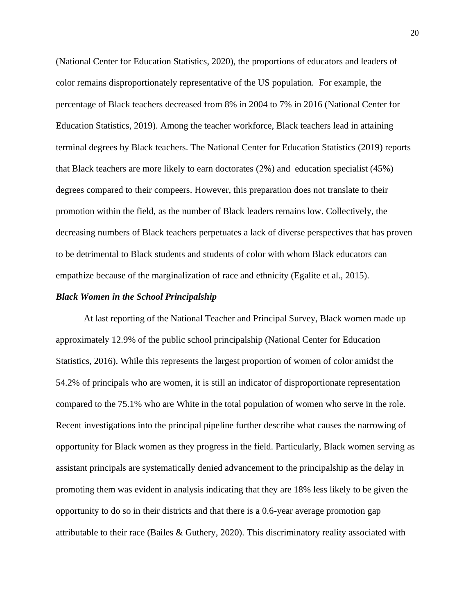(National Center for Education Statistics, 2020), the proportions of educators and leaders of color remains disproportionately representative of the US population. For example, the percentage of Black teachers decreased from 8% in 2004 to 7% in 2016 (National Center for Education Statistics, 2019). Among the teacher workforce, Black teachers lead in attaining terminal degrees by Black teachers. The National Center for Education Statistics (2019) reports that Black teachers are more likely to earn doctorates (2%) and education specialist (45%) degrees compared to their compeers. However, this preparation does not translate to their promotion within the field, as the number of Black leaders remains low. Collectively, the decreasing numbers of Black teachers perpetuates a lack of diverse perspectives that has proven to be detrimental to Black students and students of color with whom Black educators can empathize because of the marginalization of race and ethnicity (Egalite et al., 2015).

#### *Black Women in the School Principalship*

At last reporting of the National Teacher and Principal Survey, Black women made up approximately 12.9% of the public school principalship (National Center for Education Statistics, 2016). While this represents the largest proportion of women of color amidst the 54.2% of principals who are women, it is still an indicator of disproportionate representation compared to the 75.1% who are White in the total population of women who serve in the role. Recent investigations into the principal pipeline further describe what causes the narrowing of opportunity for Black women as they progress in the field. Particularly, Black women serving as assistant principals are systematically denied advancement to the principalship as the delay in promoting them was evident in analysis indicating that they are 18% less likely to be given the opportunity to do so in their districts and that there is a 0.6-year average promotion gap attributable to their race (Bailes & Guthery, 2020). This discriminatory reality associated with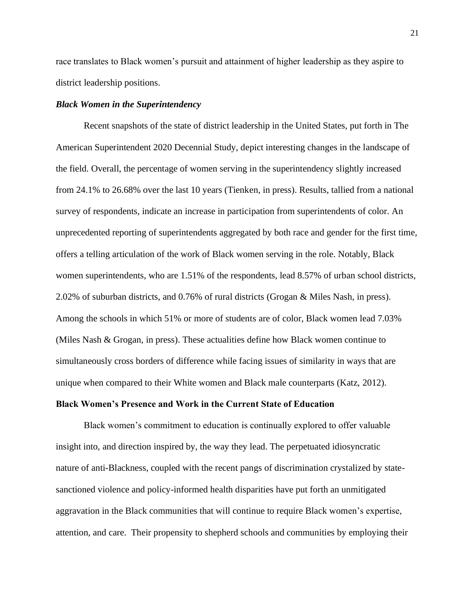race translates to Black women's pursuit and attainment of higher leadership as they aspire to district leadership positions.

#### *Black Women in the Superintendency*

Recent snapshots of the state of district leadership in the United States, put forth in The American Superintendent 2020 Decennial Study, depict interesting changes in the landscape of the field. Overall, the percentage of women serving in the superintendency slightly increased from 24.1% to 26.68% over the last 10 years (Tienken, in press). Results, tallied from a national survey of respondents, indicate an increase in participation from superintendents of color. An unprecedented reporting of superintendents aggregated by both race and gender for the first time, offers a telling articulation of the work of Black women serving in the role. Notably, Black women superintendents, who are 1.51% of the respondents, lead 8.57% of urban school districts, 2.02% of suburban districts, and 0.76% of rural districts (Grogan & Miles Nash, in press). Among the schools in which 51% or more of students are of color, Black women lead 7.03% (Miles Nash & Grogan, in press). These actualities define how Black women continue to simultaneously cross borders of difference while facing issues of similarity in ways that are unique when compared to their White women and Black male counterparts (Katz, 2012).

#### **Black Women's Presence and Work in the Current State of Education**

Black women's commitment to education is continually explored to offer valuable insight into, and direction inspired by, the way they lead. The perpetuated idiosyncratic nature of anti-Blackness, coupled with the recent pangs of discrimination crystalized by statesanctioned violence and policy-informed health disparities have put forth an unmitigated aggravation in the Black communities that will continue to require Black women's expertise, attention, and care. Their propensity to shepherd schools and communities by employing their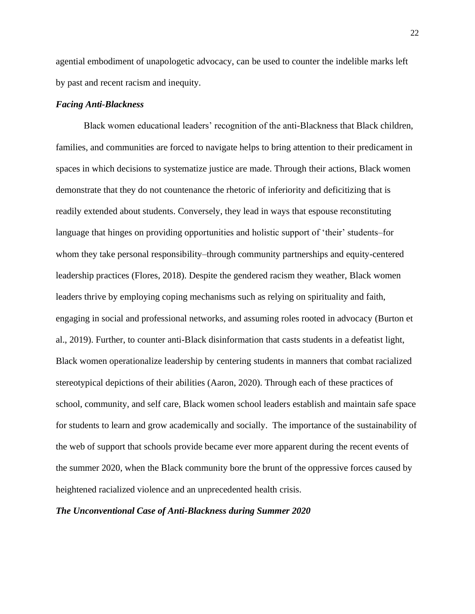agential embodiment of unapologetic advocacy, can be used to counter the indelible marks left by past and recent racism and inequity.

#### *Facing Anti-Blackness*

Black women educational leaders' recognition of the anti-Blackness that Black children, families, and communities are forced to navigate helps to bring attention to their predicament in spaces in which decisions to systematize justice are made. Through their actions, Black women demonstrate that they do not countenance the rhetoric of inferiority and deficitizing that is readily extended about students. Conversely, they lead in ways that espouse reconstituting language that hinges on providing opportunities and holistic support of 'their' students–for whom they take personal responsibility–through community partnerships and equity-centered leadership practices (Flores, 2018). Despite the gendered racism they weather, Black women leaders thrive by employing coping mechanisms such as relying on spirituality and faith, engaging in social and professional networks, and assuming roles rooted in advocacy (Burton et al., 2019). Further, to counter anti-Black disinformation that casts students in a defeatist light, Black women operationalize leadership by centering students in manners that combat racialized stereotypical depictions of their abilities (Aaron, 2020). Through each of these practices of school, community, and self care, Black women school leaders establish and maintain safe space for students to learn and grow academically and socially. The importance of the sustainability of the web of support that schools provide became ever more apparent during the recent events of the summer 2020, when the Black community bore the brunt of the oppressive forces caused by heightened racialized violence and an unprecedented health crisis.

#### *The Unconventional Case of Anti-Blackness during Summer 2020*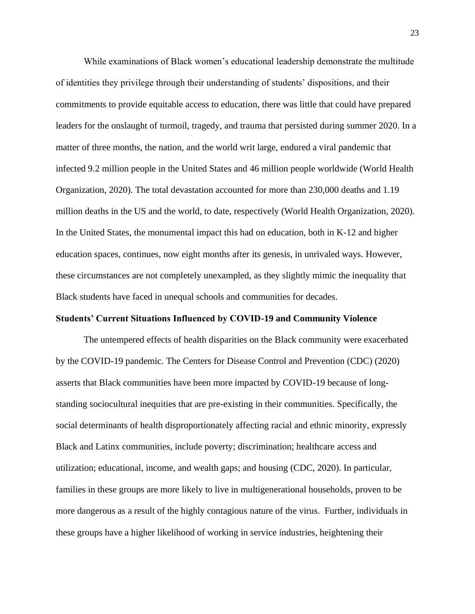While examinations of Black women's educational leadership demonstrate the multitude of identities they privilege through their understanding of students' dispositions, and their commitments to provide equitable access to education, there was little that could have prepared leaders for the onslaught of turmoil, tragedy, and trauma that persisted during summer 2020. In a matter of three months, the nation, and the world writ large, endured a viral pandemic that infected 9.2 million people in the United States and 46 million people worldwide (World Health Organization, 2020). The total devastation accounted for more than 230,000 deaths and 1.19 million deaths in the US and the world, to date, respectively (World Health Organization, 2020). In the United States, the monumental impact this had on education, both in K-12 and higher education spaces, continues, now eight months after its genesis, in unrivaled ways. However, these circumstances are not completely unexampled, as they slightly mimic the inequality that Black students have faced in unequal schools and communities for decades.

#### **Students' Current Situations Influenced by COVID-19 and Community Violence**

The untempered effects of health disparities on the Black community were exacerbated by the COVID-19 pandemic. The Centers for Disease Control and Prevention (CDC) (2020) asserts that Black communities have been more impacted by COVID-19 because of longstanding sociocultural inequities that are pre-existing in their communities. Specifically, the social determinants of health disproportionately affecting racial and ethnic minority, expressly Black and Latinx communities, include poverty; discrimination; healthcare access and utilization; educational, income, and wealth gaps; and housing (CDC, 2020). In particular, families in these groups are more likely to live in multigenerational households, proven to be more dangerous as a result of the highly contagious nature of the virus. Further, individuals in these groups have a higher likelihood of working in service industries, heightening their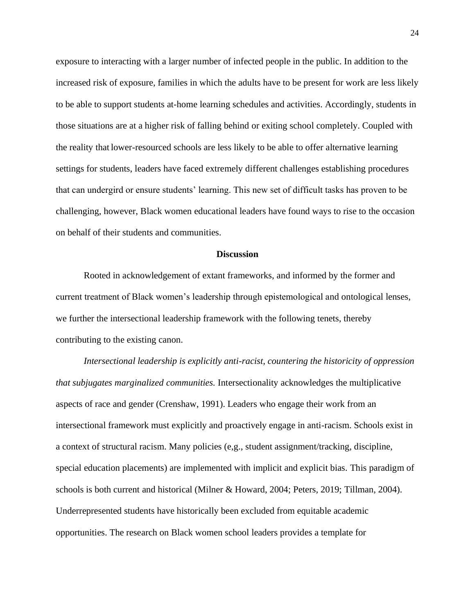exposure to interacting with a larger number of infected people in the public. In addition to the increased risk of exposure, families in which the adults have to be present for work are less likely to be able to support students at-home learning schedules and activities. Accordingly, students in those situations are at a higher risk of falling behind or exiting school completely. Coupled with the reality that lower-resourced schools are less likely to be able to offer alternative learning settings for students, leaders have faced extremely different challenges establishing procedures that can undergird or ensure students' learning. This new set of difficult tasks has proven to be challenging, however, Black women educational leaders have found ways to rise to the occasion on behalf of their students and communities.

#### **Discussion**

Rooted in acknowledgement of extant frameworks, and informed by the former and current treatment of Black women's leadership through epistemological and ontological lenses, we further the intersectional leadership framework with the following tenets, thereby contributing to the existing canon.

*Intersectional leadership is explicitly anti-racist, countering the historicity of oppression that subjugates marginalized communities.* Intersectionality acknowledges the multiplicative aspects of race and gender (Crenshaw, 1991). Leaders who engage their work from an intersectional framework must explicitly and proactively engage in anti-racism. Schools exist in a context of structural racism. Many policies (e,g., student assignment/tracking, discipline, special education placements) are implemented with implicit and explicit bias. This paradigm of schools is both current and historical (Milner & Howard, 2004; Peters, 2019; Tillman, 2004). Underrepresented students have historically been excluded from equitable academic opportunities. The research on Black women school leaders provides a template for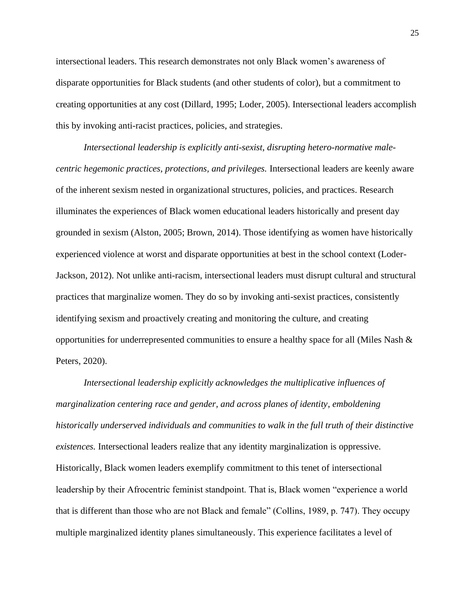intersectional leaders. This research demonstrates not only Black women's awareness of disparate opportunities for Black students (and other students of color), but a commitment to creating opportunities at any cost (Dillard, 1995; Loder, 2005). Intersectional leaders accomplish this by invoking anti-racist practices, policies, and strategies.

*Intersectional leadership is explicitly anti-sexist*, *disrupting hetero-normative malecentric hegemonic practices, protections, and privileges.* Intersectional leaders are keenly aware of the inherent sexism nested in organizational structures, policies, and practices. Research illuminates the experiences of Black women educational leaders historically and present day grounded in sexism (Alston, 2005; Brown, 2014). Those identifying as women have historically experienced violence at worst and disparate opportunities at best in the school context (Loder-Jackson, 2012). Not unlike anti-racism, intersectional leaders must disrupt cultural and structural practices that marginalize women. They do so by invoking anti-sexist practices, consistently identifying sexism and proactively creating and monitoring the culture, and creating opportunities for underrepresented communities to ensure a healthy space for all (Miles Nash  $\&$ Peters, 2020).

*Intersectional leadership explicitly acknowledges the multiplicative influences of marginalization centering race and gender, and across planes of identity*, *emboldening historically underserved individuals and communities to walk in the full truth of their distinctive existences.* Intersectional leaders realize that any identity marginalization is oppressive. Historically, Black women leaders exemplify commitment to this tenet of intersectional leadership by their Afrocentric feminist standpoint. That is, Black women "experience a world that is different than those who are not Black and female" (Collins, 1989, p. 747). They occupy multiple marginalized identity planes simultaneously. This experience facilitates a level of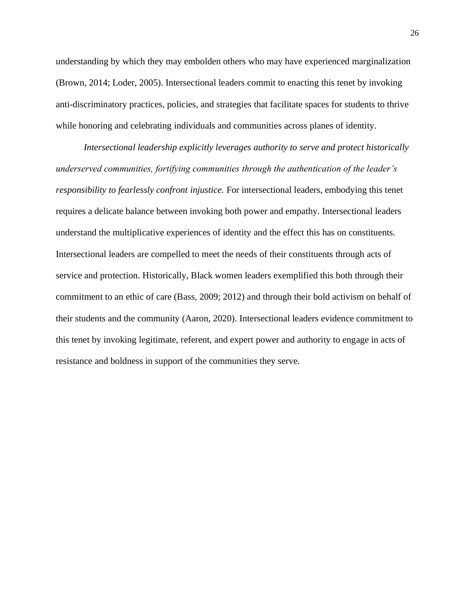understanding by which they may embolden others who may have experienced marginalization (Brown, 2014; Loder, 2005). Intersectional leaders commit to enacting this tenet by invoking anti-discriminatory practices, policies, and strategies that facilitate spaces for students to thrive while honoring and celebrating individuals and communities across planes of identity.

*Intersectional leadership explicitly leverages authority to serve and protect historically underserved communities, fortifying communities through the authentication of the leader's responsibility to fearlessly confront injustice.* For intersectional leaders, embodying this tenet requires a delicate balance between invoking both power and empathy. Intersectional leaders understand the multiplicative experiences of identity and the effect this has on constituents. Intersectional leaders are compelled to meet the needs of their constituents through acts of service and protection. Historically, Black women leaders exemplified this both through their commitment to an ethic of care (Bass, 2009; 2012) and through their bold activism on behalf of their students and the community (Aaron, 2020). Intersectional leaders evidence commitment to this tenet by invoking legitimate, referent, and expert power and authority to engage in acts of resistance and boldness in support of the communities they serve.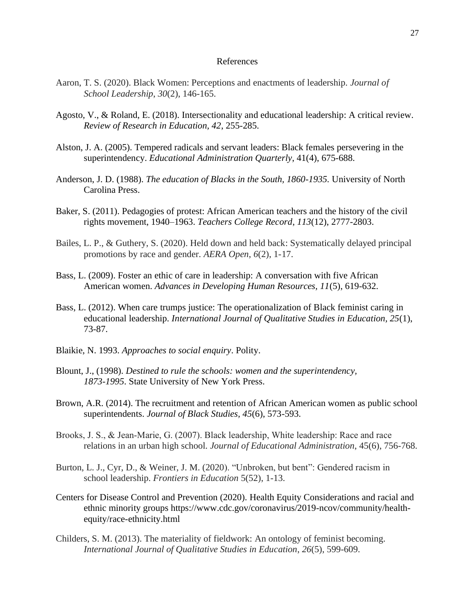#### References

- Aaron, T. S. (2020). Black Women: Perceptions and enactments of leadership. *Journal of School Leadership*, *30*(2), 146-165.
- Agosto, V., & Roland, E. (2018). Intersectionality and educational leadership: A critical review. *Review of Research in Education, 42*, 255-285.
- Alston, J. A. (2005). Tempered radicals and servant leaders: Black females persevering in the superintendency. *Educational Administration Quarterly*, 41(4), 675-688.
- Anderson, J. D. (1988). *The education of Blacks in the South, 1860-1935.* University of North Carolina Press.
- Baker, S. (2011). Pedagogies of protest: African American teachers and the history of the civil rights movement, 1940–1963. *Teachers College Record*, *113*(12), 2777-2803.
- Bailes, L. P., & Guthery, S. (2020). Held down and held back: Systematically delayed principal promotions by race and gender. *AERA Open*, *6*(2), 1-17.
- Bass, L. (2009). Foster an ethic of care in leadership: A conversation with five African American women. *Advances in Developing Human Resources, 11*(5), 619-632.
- Bass, L. (2012). When care trumps justice: The operationalization of Black feminist caring in educational leadership. *International Journal of Qualitative Studies in Education, 25*(1), 73-87.
- Blaikie, N. 1993. *Approaches to social enquiry*. Polity.
- Blount, J., (1998). *Destined to rule the schools: women and the superintendency, 1873-1995*. State University of New York Press.
- Brown, A.R. (2014). The recruitment and retention of African American women as public school superintendents. *Journal of Black Studies, 45*(6), 573-593.
- Brooks, J. S., & Jean‐Marie, G. (2007). Black leadership, White leadership: Race and race relations in an urban high school. *Journal of Educational Administration*, 45(6), 756-768.
- Burton, L. J., Cyr, D., & Weiner, J. M. (2020). "Unbroken, but bent": Gendered racism in school leadership. *Frontiers in Education* 5(52), 1-13.
- Centers for Disease Control and Prevention (2020). Health Equity Considerations and racial and ethnic minority groups https://www.cdc.gov/coronavirus/2019-ncov/community/healthequity/race-ethnicity.html
- Childers, S. M. (2013). The materiality of fieldwork: An ontology of feminist becoming. *International Journal of Qualitative Studies in Education*, *26*(5), 599-609.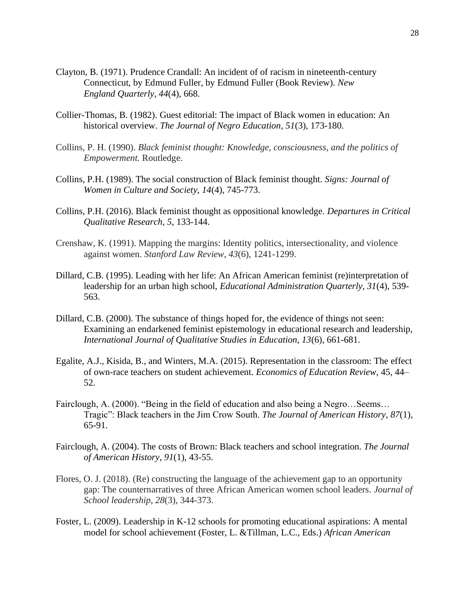- Clayton, B. (1971). Prudence Crandall: An incident of of racism in nineteenth-century Connecticut, by Edmund Fuller, by Edmund Fuller (Book Review). *New England Quarterly*, *44*(4), 668.
- Collier-Thomas, B. (1982). Guest editorial: The impact of Black women in education: An historical overview. *The Journal of Negro Education, 51*(3), 173-180.
- Collins, P. H. (1990). *Black feminist thought: Knowledge, consciousness, and the politics of Empowerment.* Routledge.
- Collins, P.H. (1989). The social construction of Black feminist thought. *Signs: Journal of Women in Culture and Society, 14*(4), 745-773.
- Collins, P.H. (2016). Black feminist thought as oppositional knowledge. *Departures in Critical Qualitative Research, 5*, 133-144.
- Crenshaw, K. (1991). Mapping the margins: Identity politics, intersectionality, and violence against women. *Stanford Law Review*, *43*(6), 1241-1299.
- Dillard, C.B. (1995). Leading with her life: An African American feminist (re)interpretation of leadership for an urban high school, *Educational Administration Quarterly, 31*(4), 539- 563.
- Dillard, C.B. (2000). The substance of things hoped for, the evidence of things not seen: Examining an endarkened feminist epistemology in educational research and leadership, *International Journal of Qualitative Studies in Education, 13*(6), 661-681.
- Egalite, A.J., Kisida, B., and Winters, M.A. (2015). Representation in the classroom: The effect of own-race teachers on student achievement. *Economics of Education Review*, 45, 44– 52.
- Fairclough, A. (2000). "Being in the field of education and also being a Negro…Seems… Tragic": Black teachers in the Jim Crow South. *The Journal of American History*, *87*(1), 65-91.
- Fairclough, A. (2004). The costs of Brown: Black teachers and school integration. *The Journal of American History*, *91*(1), 43-55.
- Flores, O. J. (2018). (Re) constructing the language of the achievement gap to an opportunity gap: The counternarratives of three African American women school leaders. *Journal of School leadership*, *28*(3), 344-373.
- Foster, L. (2009). Leadership in K-12 schools for promoting educational aspirations: A mental model for school achievement (Foster, L. &Tillman, L.C., Eds.) *African American*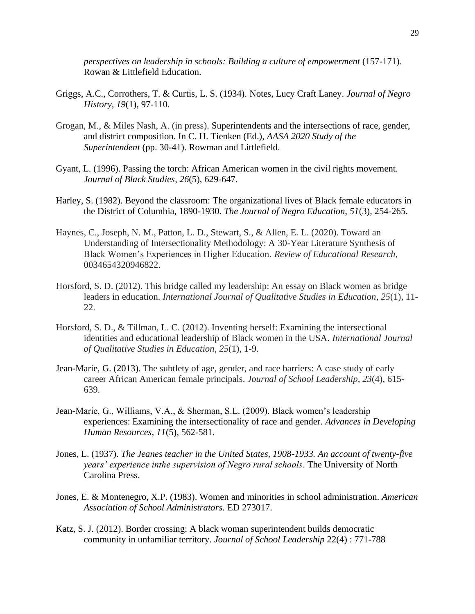*perspectives on leadership in schools: Building a culture of empowerment* (157-171). Rowan & Littlefield Education.

- Griggs, A.C., Corrothers, T. & Curtis, L. S. (1934). Notes, Lucy Craft Laney. *Journal of Negro History, 19*(1), 97-110.
- Grogan, M., & Miles Nash, A. (in press). Superintendents and the intersections of race, gender, and district composition. In C. H. Tienken (Ed.), *AASA 2020 Study of the Superintendent* (pp. 30-41). Rowman and Littlefield.
- Gyant, L. (1996). Passing the torch: African American women in the civil rights movement. *Journal of Black Studies*, *26*(5), 629-647.
- Harley, S. (1982). Beyond the classroom: The organizational lives of Black female educators in the District of Columbia, 1890-1930. *The Journal of Negro Education, 51*(3), 254-265.
- Haynes, C., Joseph, N. M., Patton, L. D., Stewart, S., & Allen, E. L. (2020). Toward an Understanding of Intersectionality Methodology: A 30-Year Literature Synthesis of Black Women's Experiences in Higher Education. *Review of Educational Research*, 0034654320946822.
- Horsford, S. D. (2012). This bridge called my leadership: An essay on Black women as bridge leaders in education. *International Journal of Qualitative Studies in Education*, *25*(1), 11- 22.
- Horsford, S. D., & Tillman, L. C. (2012). Inventing herself: Examining the intersectional identities and educational leadership of Black women in the USA. *International Journal of Qualitative Studies in Education*, *25*(1), 1-9.
- Jean-Marie, G. (2013). The subtlety of age, gender, and race barriers: A case study of early career African American female principals. *Journal of School Leadership*, *23*(4), 615- 639.
- Jean-Marie, G., Williams, V.A., & Sherman, S.L. (2009). Black women's leadership experiences: Examining the intersectionality of race and gender. *Advances in Developing Human Resources, 11*(5), 562-581.
- Jones, L. (1937). *The Jeanes teacher in the United States, 1908-1933. An account of twenty-five years' experience inthe supervision of Negro rural schools.* The University of North Carolina Press.
- Jones, E. & Montenegro, X.P. (1983). Women and minorities in school administration. *American Association of School Administrators.* ED 273017.
- Katz, S. J. (2012). Border crossing: A black woman superintendent builds democratic community in unfamiliar territory. *Journal of School Leadership* 22(4) : 771-788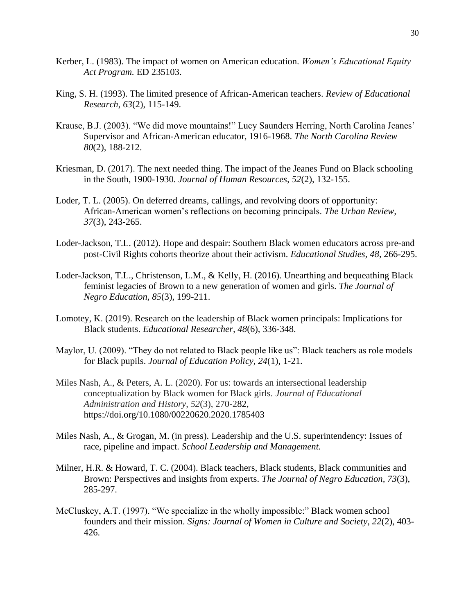- Kerber, L. (1983). The impact of women on American education. *Women's Educational Equity Act Program.* ED 235103.
- King, S. H. (1993). The limited presence of African-American teachers. *Review of Educational Research*, *63*(2), 115-149.
- Krause, B.J. (2003). "We did move mountains!" Lucy Saunders Herring, North Carolina Jeanes' Supervisor and African-American educator, 1916-1968. *The North Carolina Review 80*(2), 188-212.
- Kriesman, D. (2017). The next needed thing. The impact of the Jeanes Fund on Black schooling in the South, 1900-1930. *Journal of Human Resources, 52*(2), 132-155.
- Loder, T. L. (2005). On deferred dreams, callings, and revolving doors of opportunity: African-American women's reflections on becoming principals. *The Urban Review, 37*(3), 243-265.
- Loder-Jackson, T.L. (2012). Hope and despair: Southern Black women educators across pre-and post-Civil Rights cohorts theorize about their activism. *Educational Studies, 48*, 266-295.
- Loder-Jackson, T.L., Christenson, L.M., & Kelly, H. (2016). Unearthing and bequeathing Black feminist legacies of Brown to a new generation of women and girls. *The Journal of Negro Education, 85*(3), 199-211.
- Lomotey, K. (2019). Research on the leadership of Black women principals: Implications for Black students. *Educational Researcher, 48*(6), 336-348.
- Maylor, U. (2009). "They do not related to Black people like us": Black teachers as role models for Black pupils. *Journal of Education Policy, 24*(1), 1-21.
- Miles Nash, A., & Peters, A. L. (2020). For us: towards an intersectional leadership conceptualization by Black women for Black girls. *Journal of Educational Administration and History*, *52*(3), 270-282, [https://doi.org/10.1080/00220620.2020.1785403](https://nam03.safelinks.protection.outlook.com/?url=https%3A%2F%2Fdoi.org%2F10.1080%2F00220620.2020.1785403&data=02%7C01%7Cmilesnash%40chapman.edu%7Caabce5d9c6dd424e24f408d8485708b1%7C809929af2d2545bf9837089eb9cfbd01%7C1%7C0%7C637338886549209085&sdata=WhNAjYZ9NaeR%2Fgnrq0%2Bfks0bPzmbVdo%2F0HeDJUwIIfg%3D&reserved=0)
- Miles Nash, A., & Grogan, M. (in press). Leadership and the U.S. superintendency: Issues of race, pipeline and impact. *School Leadership and Management.*
- Milner, H.R. & Howard, T. C. (2004). Black teachers, Black students, Black communities and Brown: Perspectives and insights from experts. *The Journal of Negro Education, 73*(3), 285-297.
- McCluskey, A.T. (1997). "We specialize in the wholly impossible:" Black women school founders and their mission. *Signs: Journal of Women in Culture and Society, 22*(2), 403- 426.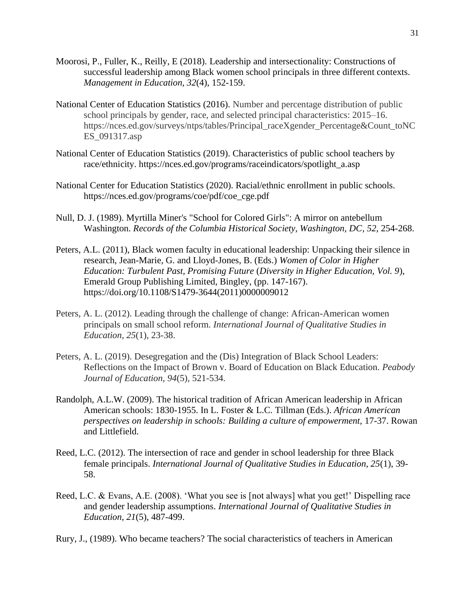- Moorosi, P., Fuller, K., Reilly, E (2018). Leadership and intersectionality: Constructions of successful leadership among Black women school principals in three different contexts. *Management in Education, 32*(4), 152-159.
- National Center of Education Statistics (2016). Number and percentage distribution of public school principals by gender, race, and selected principal characteristics: 2015–16. https://nces.ed.gov/surveys/ntps/tables/Principal\_raceXgender\_Percentage&Count\_toNC ES\_091317.asp
- National Center of Education Statistics (2019). Characteristics of public school teachers by race/ethnicity. https://nces.ed.gov/programs/raceindicators/spotlight\_a.asp
- National Center for Education Statistics (2020). Racial/ethnic enrollment in public schools. https://nces.ed.gov/programs/coe/pdf/coe\_cge.pdf
- Null, D. J. (1989). Myrtilla Miner's "School for Colored Girls": A mirror on antebellum Washington. *Records of the Columbia Historical Society, Washington, DC*, *52*, 254-268.
- Peters, A.L. (2011), Black women faculty in educational leadership: Unpacking their silence in research, Jean-Marie, G. and Lloyd-Jones, B. (Eds.) *Women of Color in Higher Education: Turbulent Past, Promising Future* (*Diversity in Higher Education, Vol. 9*), Emerald Group Publishing Limited, Bingley, (pp. 147-167). [https://doi.org/10.1108/S1479-3644\(2011\)0000009012](https://doi.org/10.1108/S1479-3644(2011)0000009012)
- Peters, A. L. (2012). Leading through the challenge of change: African-American women principals on small school reform. *International Journal of Qualitative Studies in Education*, *25*(1), 23-38.
- Peters, A. L. (2019). Desegregation and the (Dis) Integration of Black School Leaders: Reflections on the Impact of Brown v. Board of Education on Black Education. *Peabody Journal of Education*, *94*(5), 521-534.
- Randolph, A.L.W. (2009). The historical tradition of African American leadership in African American schools: 1830-1955. In L. Foster & L.C. Tillman (Eds.). *African American perspectives on leadership in schools: Building a culture of empowerment,* 17-37. Rowan and Littlefield.
- Reed, L.C. (2012). The intersection of race and gender in school leadership for three Black female principals. *International Journal of Qualitative Studies in Education, 25*(1), 39- 58.
- Reed, L.C. & Evans, A.E. (2008). 'What you see is [not always] what you get!' Dispelling race and gender leadership assumptions. *International Journal of Qualitative Studies in Education, 21*(5), 487-499.
- Rury, J., (1989). Who became teachers? The social characteristics of teachers in American